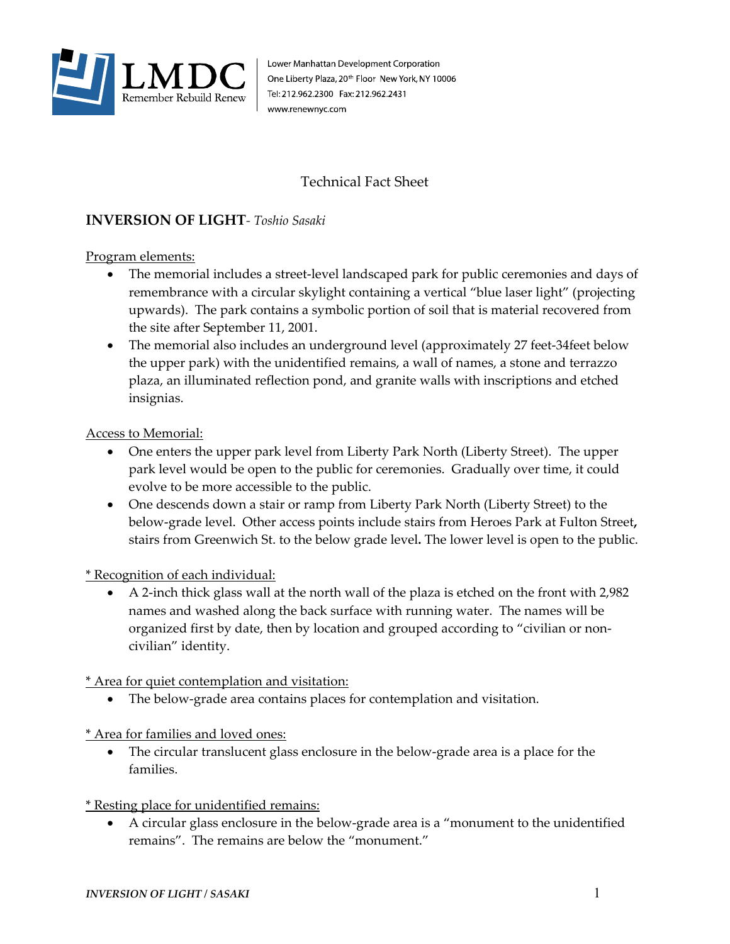

Lower Manhattan Development Corporation One Liberty Plaza, 20<sup>th</sup> Floor New York, NY 10006 Tel: 212.962.2300 Fax: 212.962.2431 www.renewnyc.com

## Technical Fact Sheet

## **INVERSION OF LIGHT***- Toshio Sasaki*

Program elements:

- The memorial includes a street-level landscaped park for public ceremonies and days of remembrance with a circular skylight containing a vertical "blue laser light" (projecting upwards). The park contains a symbolic portion of soil that is material recovered from the site after September 11, 2001.
- The memorial also includes an underground level (approximately 27 feet-34feet below the upper park) with the unidentified remains, a wall of names, a stone and terrazzo plaza, an illuminated reflection pond, and granite walls with inscriptions and etched insignias.

## Access to Memorial:

- One enters the upper park level from Liberty Park North (Liberty Street). The upper park level would be open to the public for ceremonies. Gradually over time, it could evolve to be more accessible to the public.
- One descends down a stair or ramp from Liberty Park North (Liberty Street) to the below-grade level. Other access points include stairs from Heroes Park at Fulton Street**,** stairs from Greenwich St. to the below grade level**.** The lower level is open to the public.

\* Recognition of each individual:

• A 2-inch thick glass wall at the north wall of the plaza is etched on the front with 2,982 names and washed along the back surface with running water. The names will be organized first by date, then by location and grouped according to "civilian or noncivilian" identity.

\* Area for quiet contemplation and visitation:

The below-grade area contains places for contemplation and visitation.

\* Area for families and loved ones:

The circular translucent glass enclosure in the below-grade area is a place for the families.

\* Resting place for unidentified remains:

• A circular glass enclosure in the below-grade area is a "monument to the unidentified remains". The remains are below the "monument."